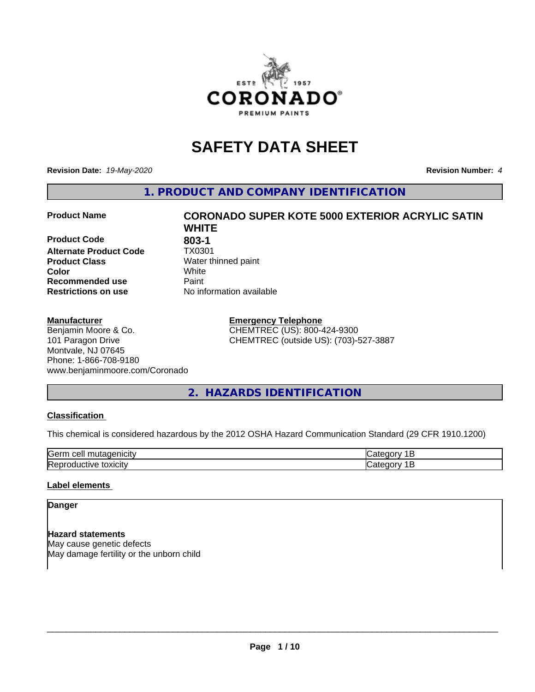

## **SAFETY DATA SHEET**

**Revision Date:** *19-May-2020* **Revision Number:** *4*

**1. PRODUCT AND COMPANY IDENTIFICATION**

**Product Code 603-1**<br>**Alternate Product Code 61 TX0301 Alternate Product Code Product Class** Water thinned paint<br> **Color** White **Recommended use Caint Restrictions on use** No information available

#### **Manufacturer**

Benjamin Moore & Co. 101 Paragon Drive Montvale, NJ 07645 Phone: 1-866-708-9180 www.benjaminmoore.com/Coronado

# **Product Name CORONADO SUPER KOTE 5000 EXTERIOR ACRYLIC SATIN WHITE Color** White

**Emergency Telephone** CHEMTREC (US): 800-424-9300 CHEMTREC (outside US): (703)-527-3887

### **2. HAZARDS IDENTIFICATION**

#### **Classification**

This chemical is considered hazardous by the 2012 OSHA Hazard Communication Standard (29 CFR 1910.1200)

| -<br>Kierm<br>.<br>--<br>ווב<br>ш |  |
|-----------------------------------|--|
|                                   |  |

#### **Label elements**

#### **Danger**

**Hazard statements** May cause genetic defects May damage fertility or the unborn child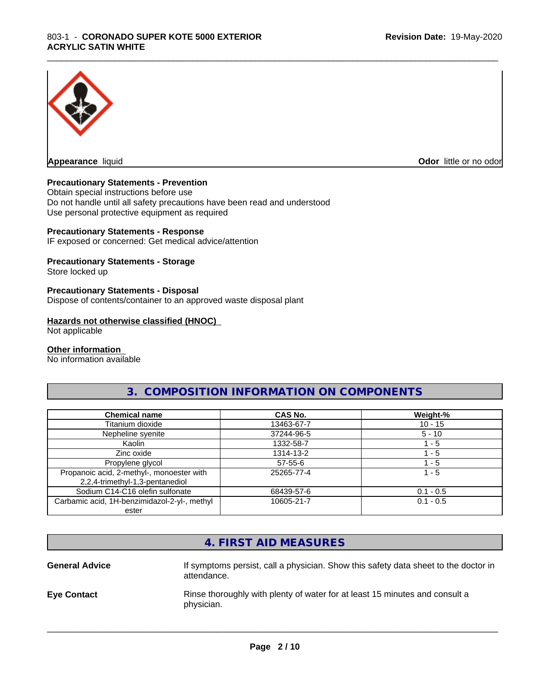

**Appearance** liquid **Odor in the original of the original of the original of the original of the original of the original of the original of the original of the original of the original of the original of the original of t** 

#### **Precautionary Statements - Prevention**

Obtain special instructions before use Do not handle until all safety precautions have been read and understood Use personal protective equipment as required

#### **Precautionary Statements - Response**

IF exposed or concerned: Get medical advice/attention

#### **Precautionary Statements - Storage**

Store locked up

#### **Precautionary Statements - Disposal**

Dispose of contents/container to an approved waste disposal plant

#### **Hazards not otherwise classified (HNOC)**

Not applicable

#### **Other information**

No information available

#### **3. COMPOSITION INFORMATION ON COMPONENTS**

\_\_\_\_\_\_\_\_\_\_\_\_\_\_\_\_\_\_\_\_\_\_\_\_\_\_\_\_\_\_\_\_\_\_\_\_\_\_\_\_\_\_\_\_\_\_\_\_\_\_\_\_\_\_\_\_\_\_\_\_\_\_\_\_\_\_\_\_\_\_\_\_\_\_\_\_\_\_\_\_\_\_\_\_\_\_\_\_\_\_\_\_\_

| <b>Chemical name</b>                                                         | CAS No.    | Weight-%    |
|------------------------------------------------------------------------------|------------|-------------|
| Titanium dioxide                                                             | 13463-67-7 | $10 - 15$   |
| Nepheline syenite                                                            | 37244-96-5 | $5 - 10$    |
| Kaolin                                                                       | 1332-58-7  | l - 5       |
| Zinc oxide                                                                   | 1314-13-2  | $-5$        |
| Propylene glycol                                                             | 57-55-6    | 1 - 5       |
| Propanoic acid, 2-methyl-, monoester with<br>2,2,4-trimethyl-1,3-pentanediol | 25265-77-4 | 1 - 5       |
| Sodium C14-C16 olefin sulfonate                                              | 68439-57-6 | $0.1 - 0.5$ |
| Carbamic acid, 1H-benzimidazol-2-yl-, methyl                                 | 10605-21-7 | $0.1 - 0.5$ |
| ester                                                                        |            |             |

| 4. FIRST AID MEASURES<br>If symptoms persist, call a physician. Show this safety data sheet to the doctor in<br><b>General Advice</b> |
|---------------------------------------------------------------------------------------------------------------------------------------|
|                                                                                                                                       |
| attendance.                                                                                                                           |
| Rinse thoroughly with plenty of water for at least 15 minutes and consult a<br><b>Eye Contact</b><br>physician.                       |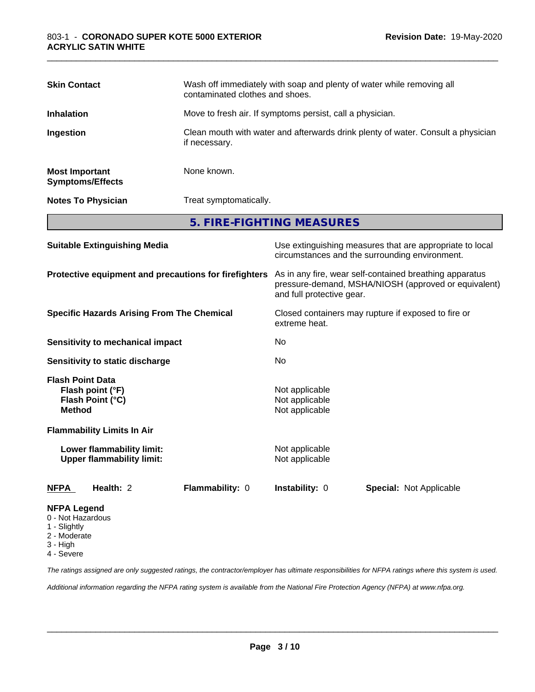| <b>Skin Contact</b>                              | Wash off immediately with soap and plenty of water while removing all<br>contaminated clothes and shoes. |
|--------------------------------------------------|----------------------------------------------------------------------------------------------------------|
| <b>Inhalation</b>                                | Move to fresh air. If symptoms persist, call a physician.                                                |
| Ingestion                                        | Clean mouth with water and afterwards drink plenty of water. Consult a physician<br>if necessary.        |
| <b>Most Important</b><br><b>Symptoms/Effects</b> | None known.                                                                                              |
| <b>Notes To Physician</b>                        | Treat symptomatically.                                                                                   |
|                                                  | 5. FIRE-FIGHTING MEASURES                                                                                |

\_\_\_\_\_\_\_\_\_\_\_\_\_\_\_\_\_\_\_\_\_\_\_\_\_\_\_\_\_\_\_\_\_\_\_\_\_\_\_\_\_\_\_\_\_\_\_\_\_\_\_\_\_\_\_\_\_\_\_\_\_\_\_\_\_\_\_\_\_\_\_\_\_\_\_\_\_\_\_\_\_\_\_\_\_\_\_\_\_\_\_\_\_

| <b>Suitable Extinguishing Media</b>                                              | Use extinguishing measures that are appropriate to local<br>circumstances and the surrounding environment.                                   |  |  |
|----------------------------------------------------------------------------------|----------------------------------------------------------------------------------------------------------------------------------------------|--|--|
| Protective equipment and precautions for firefighters                            | As in any fire, wear self-contained breathing apparatus<br>pressure-demand, MSHA/NIOSH (approved or equivalent)<br>and full protective gear. |  |  |
| <b>Specific Hazards Arising From The Chemical</b>                                | Closed containers may rupture if exposed to fire or<br>extreme heat.                                                                         |  |  |
| Sensitivity to mechanical impact                                                 | No.                                                                                                                                          |  |  |
| Sensitivity to static discharge                                                  | No                                                                                                                                           |  |  |
| <b>Flash Point Data</b><br>Flash point (°F)<br>Flash Point (°C)<br><b>Method</b> | Not applicable<br>Not applicable<br>Not applicable                                                                                           |  |  |
| <b>Flammability Limits In Air</b>                                                |                                                                                                                                              |  |  |
| Lower flammability limit:<br><b>Upper flammability limit:</b>                    | Not applicable<br>Not applicable                                                                                                             |  |  |
| Health: 2<br>Flammability: 0<br>NFPA                                             | <b>Instability: 0</b><br><b>Special: Not Applicable</b>                                                                                      |  |  |
| <b>NFPA Legend</b><br>0 - Not Hazardous<br>1 - Slightly                          |                                                                                                                                              |  |  |

- 
- 2 Moderate
- 3 High 4 - Severe

*The ratings assigned are only suggested ratings, the contractor/employer has ultimate responsibilities for NFPA ratings where this system is used.*

*Additional information regarding the NFPA rating system is available from the National Fire Protection Agency (NFPA) at www.nfpa.org.*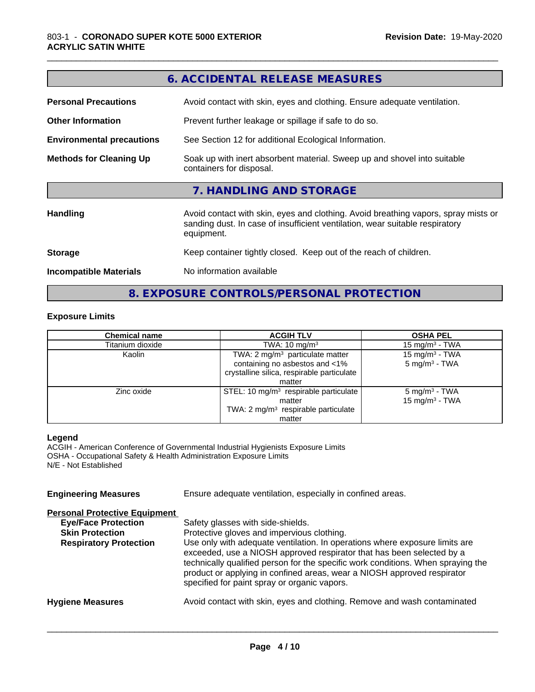| 6. ACCIDENTAL RELEASE MEASURES   |                                                                                                                                                                                  |  |  |
|----------------------------------|----------------------------------------------------------------------------------------------------------------------------------------------------------------------------------|--|--|
| <b>Personal Precautions</b>      | Avoid contact with skin, eyes and clothing. Ensure adequate ventilation.                                                                                                         |  |  |
| <b>Other Information</b>         | Prevent further leakage or spillage if safe to do so.                                                                                                                            |  |  |
| <b>Environmental precautions</b> | See Section 12 for additional Ecological Information.                                                                                                                            |  |  |
| <b>Methods for Cleaning Up</b>   | Soak up with inert absorbent material. Sweep up and shovel into suitable<br>containers for disposal.                                                                             |  |  |
|                                  | 7. HANDLING AND STORAGE                                                                                                                                                          |  |  |
| <b>Handling</b>                  | Avoid contact with skin, eyes and clothing. Avoid breathing vapors, spray mists or<br>sanding dust. In case of insufficient ventilation, wear suitable respiratory<br>equipment. |  |  |
| <b>Storage</b>                   | Keep container tightly closed. Keep out of the reach of children.                                                                                                                |  |  |
| <b>Incompatible Materials</b>    | No information available                                                                                                                                                         |  |  |
|                                  |                                                                                                                                                                                  |  |  |

#### **Exposure Limits**

| <b>Chemical name</b> | <b>ACGIH TLV</b>                                  | <b>OSHA PEL</b>            |  |
|----------------------|---------------------------------------------------|----------------------------|--|
| Titanium dioxide     | TWA: $10 \text{ mg/m}^3$                          | $15 \text{ mg/m}^3$ - TWA  |  |
| Kaolin               | TWA: 2 mg/m <sup>3</sup> particulate matter       | 15 mg/m <sup>3</sup> - TWA |  |
|                      | containing no asbestos and <1%                    | $5 \text{ mg/m}^3$ - TWA   |  |
|                      | crystalline silica, respirable particulate        |                            |  |
|                      | matter                                            |                            |  |
| Zinc oxide           | STEL: 10 mg/m <sup>3</sup> respirable particulate | $5 \text{ mg/m}^3$ - TWA   |  |
|                      | matter                                            | 15 mg/m <sup>3</sup> - TWA |  |
|                      | TWA: 2 mg/m <sup>3</sup> respirable particulate   |                            |  |
|                      | matter                                            |                            |  |

**8. EXPOSURE CONTROLS/PERSONAL PROTECTION**

#### **Legend**

ACGIH - American Conference of Governmental Industrial Hygienists Exposure Limits OSHA - Occupational Safety & Health Administration Exposure Limits N/E - Not Established

**Engineering Measures** Ensure adequate ventilation, especially in confined areas.

#### **Personal Protective Equipment**

| <b>Eye/Face Protection</b><br><b>Skin Protection</b><br><b>Respiratory Protection</b> | Safety glasses with side-shields.<br>Protective gloves and impervious clothing.<br>Use only with adequate ventilation. In operations where exposure limits are<br>exceeded, use a NIOSH approved respirator that has been selected by a<br>technically qualified person for the specific work conditions. When spraying the<br>product or applying in confined areas, wear a NIOSH approved respirator<br>specified for paint spray or organic vapors. |
|---------------------------------------------------------------------------------------|--------------------------------------------------------------------------------------------------------------------------------------------------------------------------------------------------------------------------------------------------------------------------------------------------------------------------------------------------------------------------------------------------------------------------------------------------------|
| <b>Hygiene Measures</b>                                                               | Avoid contact with skin, eyes and clothing. Remove and wash contaminated                                                                                                                                                                                                                                                                                                                                                                               |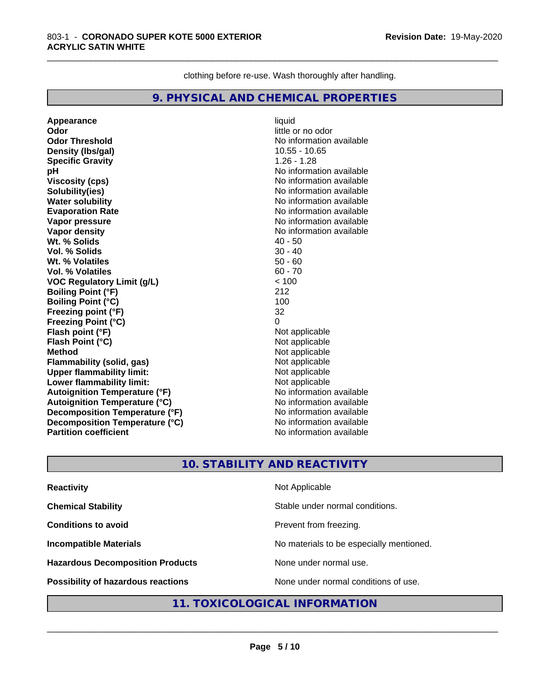clothing before re-use. Wash thoroughly after handling.

\_\_\_\_\_\_\_\_\_\_\_\_\_\_\_\_\_\_\_\_\_\_\_\_\_\_\_\_\_\_\_\_\_\_\_\_\_\_\_\_\_\_\_\_\_\_\_\_\_\_\_\_\_\_\_\_\_\_\_\_\_\_\_\_\_\_\_\_\_\_\_\_\_\_\_\_\_\_\_\_\_\_\_\_\_\_\_\_\_\_\_\_\_

#### **9. PHYSICAL AND CHEMICAL PROPERTIES**

**Appearance** liquid **Odor** little or no odor **Odor Threshold** No information available **Density (lbs/gal)** 10.55 - 10.65<br> **Specific Gravity** 1.26 - 1.28 **Specific Gravity pH pH**  $\blacksquare$ **Viscosity (cps)** No information available **Solubility(ies)** No information available **Water solubility**<br> **Evaporation Rate**<br> **Evaporation Rate**<br> **Evaporation Rate Vapor pressure**<br> **Vapor density**<br> **Vapor density**<br> **Vapor density**<br> **Vapor density Wt. % Solids Vol. % Solids** 30 - 40 **Wt. % Volatiles** 50 - 60 **Vol. % Volatiles VOC Regulatory Limit (g/L)** < 100 **Boiling Point (°F)** 212 **Boiling Point (°C)** 100 **Freezing point (°F)** 32 **Freezing Point (°C) Flash point (°F)**<br> **Flash Point (°C)**<br> **Flash Point (°C)**<br> **Compare Server All Alta Annual Mothematic Not applicable Flash Point (°C) Method**<br> **Flammability (solid. gas)**<br> **Example 2018** Not applicable **Flammability** (solid, gas) **Upper flammability limit:**<br> **Lower flammability limit:** Not applicable Not applicable **Lower flammability limit: Autoignition Temperature (°F)** No information available **Autoignition Temperature (°C)**<br> **Decomposition Temperature (°F)** No information available **Decomposition Temperature (°F) Decomposition Temperature (°C)**<br> **Partition coefficient**<br> **Partition coefficient**<br> **No** information available **Partition coefficient** 

**Evaporation Rate** No information available **No information available**<br>**40 - 50** 

#### **10. STABILITY AND REACTIVITY**

| <b>Reactivity</b>                       | Not Applicable                           |
|-----------------------------------------|------------------------------------------|
| <b>Chemical Stability</b>               | Stable under normal conditions.          |
| <b>Conditions to avoid</b>              | Prevent from freezing.                   |
| <b>Incompatible Materials</b>           | No materials to be especially mentioned. |
| <b>Hazardous Decomposition Products</b> | None under normal use.                   |
| Possibility of hazardous reactions      | None under normal conditions of use.     |

#### **11. TOXICOLOGICAL INFORMATION**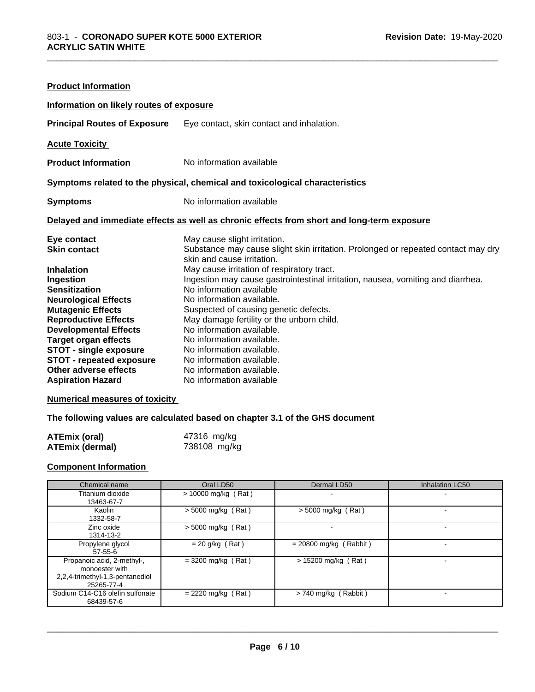| <b>Product Information</b>                                                                                                                                                                                                                                                                                                                         |                                                                                                                                                                                                                                                                                                                                                                                                                                                                                                                                                                                  |  |  |
|----------------------------------------------------------------------------------------------------------------------------------------------------------------------------------------------------------------------------------------------------------------------------------------------------------------------------------------------------|----------------------------------------------------------------------------------------------------------------------------------------------------------------------------------------------------------------------------------------------------------------------------------------------------------------------------------------------------------------------------------------------------------------------------------------------------------------------------------------------------------------------------------------------------------------------------------|--|--|
| Information on likely routes of exposure                                                                                                                                                                                                                                                                                                           |                                                                                                                                                                                                                                                                                                                                                                                                                                                                                                                                                                                  |  |  |
| <b>Principal Routes of Exposure</b>                                                                                                                                                                                                                                                                                                                | Eye contact, skin contact and inhalation.                                                                                                                                                                                                                                                                                                                                                                                                                                                                                                                                        |  |  |
| <b>Acute Toxicity</b>                                                                                                                                                                                                                                                                                                                              |                                                                                                                                                                                                                                                                                                                                                                                                                                                                                                                                                                                  |  |  |
| <b>Product Information</b>                                                                                                                                                                                                                                                                                                                         | No information available                                                                                                                                                                                                                                                                                                                                                                                                                                                                                                                                                         |  |  |
| Symptoms related to the physical, chemical and toxicological characteristics                                                                                                                                                                                                                                                                       |                                                                                                                                                                                                                                                                                                                                                                                                                                                                                                                                                                                  |  |  |
| <b>Symptoms</b>                                                                                                                                                                                                                                                                                                                                    | No information available                                                                                                                                                                                                                                                                                                                                                                                                                                                                                                                                                         |  |  |
| Delayed and immediate effects as well as chronic effects from short and long-term exposure                                                                                                                                                                                                                                                         |                                                                                                                                                                                                                                                                                                                                                                                                                                                                                                                                                                                  |  |  |
| Eye contact<br><b>Skin contact</b><br><b>Inhalation</b><br>Ingestion<br><b>Sensitization</b><br><b>Neurological Effects</b><br><b>Mutagenic Effects</b><br><b>Reproductive Effects</b><br><b>Developmental Effects</b><br><b>Target organ effects</b><br><b>STOT - single exposure</b><br><b>STOT - repeated exposure</b><br>Other adverse effects | May cause slight irritation.<br>Substance may cause slight skin irritation. Prolonged or repeated contact may dry<br>skin and cause irritation.<br>May cause irritation of respiratory tract.<br>Ingestion may cause gastrointestinal irritation, nausea, vomiting and diarrhea.<br>No information available<br>No information available.<br>Suspected of causing genetic defects.<br>May damage fertility or the unborn child.<br>No information available.<br>No information available.<br>No information available.<br>No information available.<br>No information available. |  |  |

#### **Numerical measures of toxicity**

#### **The following values are calculated based on chapter 3.1 of the GHS document**

| <b>ATEmix (oral)</b>   | 47316 mg/kg  |
|------------------------|--------------|
| <b>ATEmix (dermal)</b> | 738108 mg/kg |

#### **Component Information**

| Chemical name                                                                                 | Oral LD50             | Dermal LD50              | Inhalation LC50 |
|-----------------------------------------------------------------------------------------------|-----------------------|--------------------------|-----------------|
| Titanium dioxide<br>13463-67-7                                                                | $> 10000$ mg/kg (Rat) |                          | -               |
| Kaolin<br>1332-58-7                                                                           | $>$ 5000 mg/kg (Rat)  | $>$ 5000 mg/kg (Rat)     |                 |
| Zinc oxide<br>1314-13-2                                                                       | $>$ 5000 mg/kg (Rat)  |                          |                 |
| Propylene glycol<br>$57-55-6$                                                                 | $= 20$ g/kg (Rat)     | $= 20800$ mg/kg (Rabbit) |                 |
| Propanoic acid, 2-methyl-,<br>monoester with<br>2,2,4-trimethyl-1,3-pentanediol<br>25265-77-4 | $=$ 3200 mg/kg (Rat)  | > 15200 mg/kg (Rat)      |                 |
| Sodium C14-C16 olefin sulfonate<br>68439-57-6                                                 | $= 2220$ mg/kg (Rat)  | > 740 mg/kg (Rabbit)     |                 |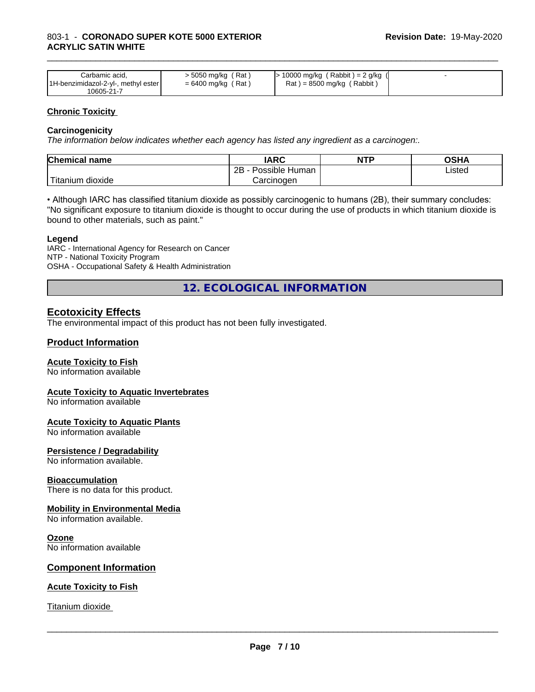| Carbamic acid.                      | > 5050 mg/kg (Rat)   | $\cdot$ 10000 mg/kg (Rabbit) = 2 g/kg |  |
|-------------------------------------|----------------------|---------------------------------------|--|
| 1H-benzimidazol-2-yl-, methyl ester | $= 6400$ mg/kg (Rat) | $Rat$ = 8500 mg/kg (Rabbit)           |  |
| 10605-21-7                          |                      |                                       |  |

\_\_\_\_\_\_\_\_\_\_\_\_\_\_\_\_\_\_\_\_\_\_\_\_\_\_\_\_\_\_\_\_\_\_\_\_\_\_\_\_\_\_\_\_\_\_\_\_\_\_\_\_\_\_\_\_\_\_\_\_\_\_\_\_\_\_\_\_\_\_\_\_\_\_\_\_\_\_\_\_\_\_\_\_\_\_\_\_\_\_\_\_\_

#### **Chronic Toxicity**

#### **Carcinogenicity**

*The information below indicateswhether each agency has listed any ingredient as a carcinogen:.*

| <b>Chemical name</b>      | <b>IARC</b>                      | <b>NTP</b> | OSHA   |
|---------------------------|----------------------------------|------------|--------|
|                           | . .<br>2B<br>Possible<br>: Human |            | Listed |
| dioxide<br><b>itanium</b> | Carcinoɑen                       |            |        |

• Although IARC has classified titanium dioxide as possibly carcinogenic to humans (2B), their summary concludes: "No significant exposure to titanium dioxide is thought to occur during the use of products in which titanium dioxide is bound to other materials, such as paint."

#### **Legend**

IARC - International Agency for Research on Cancer NTP - National Toxicity Program OSHA - Occupational Safety & Health Administration

**12. ECOLOGICAL INFORMATION**

#### **Ecotoxicity Effects**

The environmental impact of this product has not been fully investigated.

#### **Product Information**

#### **Acute Toxicity to Fish**

No information available

#### **Acute Toxicity to Aquatic Invertebrates**

No information available

#### **Acute Toxicity to Aquatic Plants**

No information available

#### **Persistence / Degradability**

No information available.

#### **Bioaccumulation**

There is no data for this product.

#### **Mobility in Environmental Media**

No information available.

#### **Ozone**

No information available

#### **Component Information**

#### **Acute Toxicity to Fish**

Titanium dioxide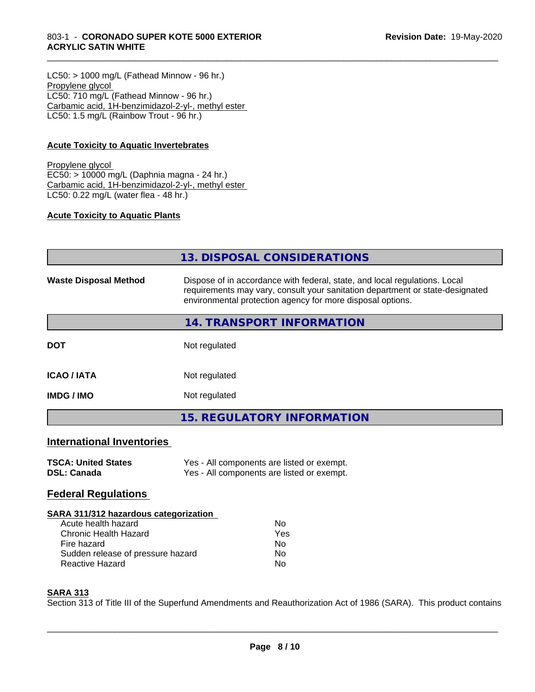#### 803-1 - **CORONADO SUPER KOTE 5000 EXTERIOR ACRYLIC SATIN WHITE**

 $LC50:$  > 1000 mg/L (Fathead Minnow - 96 hr.) Propylene glycol LC50: 710 mg/L (Fathead Minnow - 96 hr.) Carbamic acid, 1H-benzimidazol-2-yl-, methyl ester LC50: 1.5 mg/L (Rainbow Trout - 96 hr.)

#### **Acute Toxicity to Aquatic Invertebrates**

Propylene glycol EC50: > 10000 mg/L (Daphnia magna - 24 hr.) Carbamic acid, 1H-benzimidazol-2-yl-, methyl ester LC50: 0.22 mg/L (water flea - 48 hr.)

#### **Acute Toxicity to Aquatic Plants**

|                                  | 13. DISPOSAL CONSIDERATIONS                                                                                                                                                                                               |  |
|----------------------------------|---------------------------------------------------------------------------------------------------------------------------------------------------------------------------------------------------------------------------|--|
| <b>Waste Disposal Method</b>     | Dispose of in accordance with federal, state, and local regulations. Local<br>requirements may vary, consult your sanitation department or state-designated<br>environmental protection agency for more disposal options. |  |
|                                  | 14. TRANSPORT INFORMATION                                                                                                                                                                                                 |  |
| <b>DOT</b>                       | Not regulated                                                                                                                                                                                                             |  |
| <b>ICAO/IATA</b>                 | Not regulated                                                                                                                                                                                                             |  |
| <b>IMDG/IMO</b>                  | Not regulated                                                                                                                                                                                                             |  |
|                                  | <b>15. REGULATORY INFORMATION</b>                                                                                                                                                                                         |  |
| <b>International Inventories</b> |                                                                                                                                                                                                                           |  |

\_\_\_\_\_\_\_\_\_\_\_\_\_\_\_\_\_\_\_\_\_\_\_\_\_\_\_\_\_\_\_\_\_\_\_\_\_\_\_\_\_\_\_\_\_\_\_\_\_\_\_\_\_\_\_\_\_\_\_\_\_\_\_\_\_\_\_\_\_\_\_\_\_\_\_\_\_\_\_\_\_\_\_\_\_\_\_\_\_\_\_\_\_

| <b>TSCA: United States</b> | Yes - All components are listed or exempt. |
|----------------------------|--------------------------------------------|
| <b>DSL: Canada</b>         | Yes - All components are listed or exempt. |

#### **Federal Regulations**

#### **SARA 311/312 hazardous categorization**

| Acute health hazard               | N٥  |
|-----------------------------------|-----|
| Chronic Health Hazard             | Yes |
| Fire hazard                       | Nο  |
| Sudden release of pressure hazard | Nο  |
| Reactive Hazard                   | N٥  |

#### **SARA 313**

Section 313 of Title III of the Superfund Amendments and Reauthorization Act of 1986 (SARA). This product contains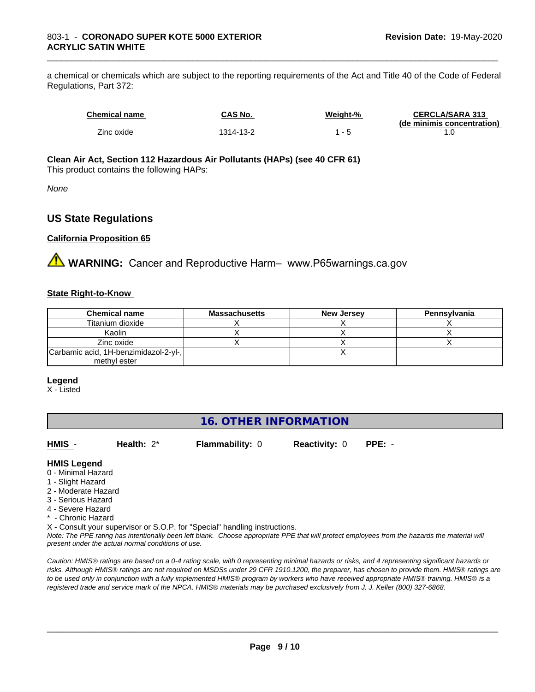a chemical or chemicals which are subject to the reporting requirements of the Act and Title 40 of the Code of Federal Regulations, Part 372:

| <b>Chemical name</b> | CAS No.   | Weight-%                 | <b>CERCLA/SARA 313</b><br>(de minimis concentration) |
|----------------------|-----------|--------------------------|------------------------------------------------------|
| Zinc oxide           | 1314-13-2 | $\overline{\phantom{0}}$ |                                                      |

\_\_\_\_\_\_\_\_\_\_\_\_\_\_\_\_\_\_\_\_\_\_\_\_\_\_\_\_\_\_\_\_\_\_\_\_\_\_\_\_\_\_\_\_\_\_\_\_\_\_\_\_\_\_\_\_\_\_\_\_\_\_\_\_\_\_\_\_\_\_\_\_\_\_\_\_\_\_\_\_\_\_\_\_\_\_\_\_\_\_\_\_\_

#### **Clean Air Act,Section 112 Hazardous Air Pollutants (HAPs) (see 40 CFR 61)**

This product contains the following HAPs:

*None*

#### **US State Regulations**

#### **California Proposition 65**

**AVIMARNING:** Cancer and Reproductive Harm– www.P65warnings.ca.gov

#### **State Right-to-Know**

| <b>Chemical name</b>                  | <b>Massachusetts</b> | <b>New Jersey</b> | Pennsylvania |
|---------------------------------------|----------------------|-------------------|--------------|
| Titanium dioxide                      |                      |                   |              |
| Kaolin                                |                      |                   |              |
| Zinc oxide                            |                      |                   |              |
| Carbamic acid, 1H-benzimidazol-2-yl-, |                      |                   |              |
| methyl ester                          |                      |                   |              |

#### **Legend**

X - Listed

#### **16. OTHER INFORMATION**

**HMIS** - **Health:** 2\* **Flammability:** 0 **Reactivity:** 0 **PPE:** -

 $\overline{\phantom{a}}$  ,  $\overline{\phantom{a}}$  ,  $\overline{\phantom{a}}$  ,  $\overline{\phantom{a}}$  ,  $\overline{\phantom{a}}$  ,  $\overline{\phantom{a}}$  ,  $\overline{\phantom{a}}$  ,  $\overline{\phantom{a}}$  ,  $\overline{\phantom{a}}$  ,  $\overline{\phantom{a}}$  ,  $\overline{\phantom{a}}$  ,  $\overline{\phantom{a}}$  ,  $\overline{\phantom{a}}$  ,  $\overline{\phantom{a}}$  ,  $\overline{\phantom{a}}$  ,  $\overline{\phantom{a}}$ 

#### **HMIS Legend**

- 0 Minimal Hazard
- 1 Slight Hazard
- 2 Moderate Hazard
- 3 Serious Hazard
- 4 Severe Hazard
- \* Chronic Hazard
- X Consult your supervisor or S.O.P. for "Special" handling instructions.

*Note: The PPE rating has intentionally been left blank. Choose appropriate PPE that will protect employees from the hazards the material will present under the actual normal conditions of use.*

*Caution: HMISÒ ratings are based on a 0-4 rating scale, with 0 representing minimal hazards or risks, and 4 representing significant hazards or risks. Although HMISÒ ratings are not required on MSDSs under 29 CFR 1910.1200, the preparer, has chosen to provide them. HMISÒ ratings are to be used only in conjunction with a fully implemented HMISÒ program by workers who have received appropriate HMISÒ training. HMISÒ is a registered trade and service mark of the NPCA. HMISÒ materials may be purchased exclusively from J. J. Keller (800) 327-6868.*